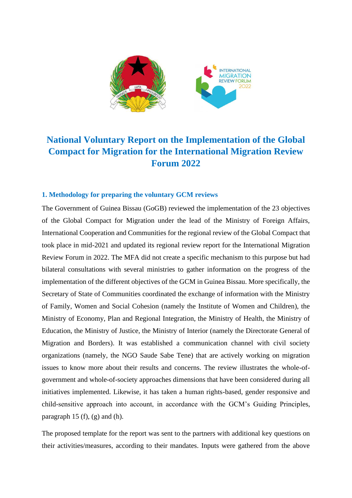

# **National Voluntary Report on the Implementation of the Global Compact for Migration for the International Migration Review Forum 2022**

### **1. Methodology for preparing the voluntary GCM reviews**

The Government of Guinea Bissau (GoGB) reviewed the implementation of the 23 objectives of the Global Compact for Migration under the lead of the Ministry of Foreign Affairs, International Cooperation and Communities for the regional review of the Global Compact that took place in mid-2021 and updated its regional review report for the International Migration Review Forum in 2022. The MFA did not create a specific mechanism to this purpose but had bilateral consultations with several ministries to gather information on the progress of the implementation of the different objectives of the GCM in Guinea Bissau. More specifically, the Secretary of State of Communities coordinated the exchange of information with the Ministry of Family, Women and Social Cohesion (namely the Institute of Women and Children), the Ministry of Economy, Plan and Regional Integration, the Ministry of Health, the Ministry of Education, the Ministry of Justice, the Ministry of Interior (namely the Directorate General of Migration and Borders). It was established a communication channel with civil society organizations (namely, the NGO Saude Sabe Tene) that are actively working on migration issues to know more about their results and concerns. The review illustrates the whole-ofgovernment and whole-of-society approaches dimensions that have been considered during all initiatives implemented. Likewise, it has taken a human rights-based, gender responsive and child-sensitive approach into account, in accordance with the GCM's Guiding Principles, paragraph 15 (f), (g) and (h).

The proposed template for the report was sent to the partners with additional key questions on their activities/measures, according to their mandates. Inputs were gathered from the above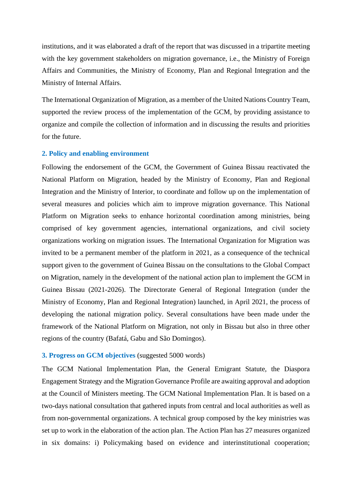institutions, and it was elaborated a draft of the report that was discussed in a tripartite meeting with the key government stakeholders on migration governance, i.e., the Ministry of Foreign Affairs and Communities, the Ministry of Economy, Plan and Regional Integration and the Ministry of Internal Affairs.

The International Organization of Migration, as a member of the United Nations Country Team, supported the review process of the implementation of the GCM, by providing assistance to organize and compile the collection of information and in discussing the results and priorities for the future.

#### **2. Policy and enabling environment**

Following the endorsement of the GCM, the Government of Guinea Bissau reactivated the National Platform on Migration, headed by the Ministry of Economy, Plan and Regional Integration and the Ministry of Interior, to coordinate and follow up on the implementation of several measures and policies which aim to improve migration governance. This National Platform on Migration seeks to enhance horizontal coordination among ministries, being comprised of key government agencies, international organizations, and civil society organizations working on migration issues. The International Organization for Migration was invited to be a permanent member of the platform in 2021, as a consequence of the technical support given to the government of Guinea Bissau on the consultations to the Global Compact on Migration, namely in the development of the national action plan to implement the GCM in Guinea Bissau (2021-2026). The Directorate General of Regional Integration (under the Ministry of Economy, Plan and Regional Integration) launched, in April 2021, the process of developing the national migration policy. Several consultations have been made under the framework of the National Platform on Migration, not only in Bissau but also in three other regions of the country (Bafatá, Gabu and São Domingos).

#### **3. Progress on GCM objectives** (suggested 5000 words)

The GCM National Implementation Plan, the General Emigrant Statute, the Diaspora Engagement Strategy and the Migration Governance Profile are awaiting approval and adoption at the Council of Ministers meeting. The GCM National Implementation Plan. It is based on a two-days national consultation that gathered inputs from central and local authorities as well as from non-governmental organizations. A technical group composed by the key ministries was set up to work in the elaboration of the action plan. The Action Plan has 27 measures organized in six domains: i) Policymaking based on evidence and interinstitutional cooperation;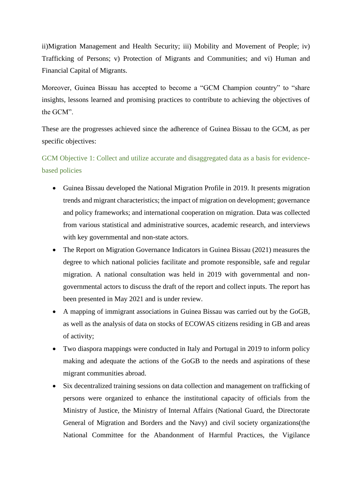ii)Migration Management and Health Security; iii) Mobility and Movement of People; iv) Trafficking of Persons; v) Protection of Migrants and Communities; and vi) Human and Financial Capital of Migrants.

Moreover, Guinea Bissau has accepted to become a "GCM Champion country" to "share insights, lessons learned and promising practices to contribute to achieving the objectives of the GCM".

These are the progresses achieved since the adherence of Guinea Bissau to the GCM, as per specific objectives:

GCM Objective 1: Collect and utilize accurate and disaggregated data as a basis for evidencebased policies

- Guinea Bissau developed the National Migration Profile in 2019. It presents migration trends and migrant characteristics; the impact of migration on development; governance and policy frameworks; and international cooperation on migration. Data was collected from various statistical and administrative sources, academic research, and interviews with key governmental and non-state actors.
- The Report on Migration Governance Indicators in Guinea Bissau (2021) measures the degree to which national policies facilitate and promote responsible, safe and regular migration. A national consultation was held in 2019 with governmental and nongovernmental actors to discuss the draft of the report and collect inputs. The report has been presented in May 2021 and is under review.
- A mapping of immigrant associations in Guinea Bissau was carried out by the GoGB, as well as the analysis of data on stocks of ECOWAS citizens residing in GB and areas of activity;
- Two diaspora mappings were conducted in Italy and Portugal in 2019 to inform policy making and adequate the actions of the GoGB to the needs and aspirations of these migrant communities abroad.
- Six decentralized training sessions on data collection and management on trafficking of persons were organized to enhance the institutional capacity of officials from the Ministry of Justice, the Ministry of Internal Affairs (National Guard, the Directorate General of Migration and Borders and the Navy) and civil society organizations(the National Committee for the Abandonment of Harmful Practices, the Vigilance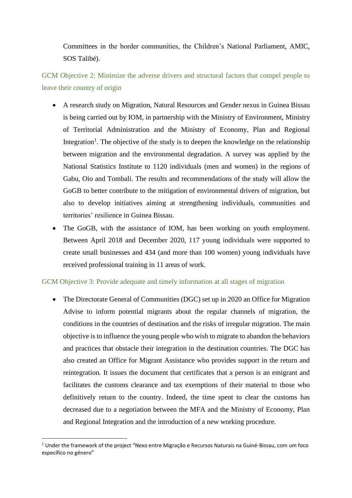Committees in the border communities, the Children's National Parliament, AMIC, SOS Talibé).

GCM Objective 2: Minimize the adverse drivers and structural factors that compel people to leave their country of origin

- A research study on Migration, Natural Resources and Gender nexus in Guinea Bissau is being carried out by IOM, in partnership with the Ministry of Environment, Ministry of Territorial Administration and the Ministry of Economy, Plan and Regional Integration<sup>1</sup>. The objective of the study is to deepen the knowledge on the relationship between migration and the environmental degradation. A survey was applied by the National Statistics Institute to 1120 individuals (men and women) in the regions of Gabu, Oio and Tombali. The results and recommendations of the study will allow the GoGB to better contribute to the mitigation of environmental drivers of migration, but also to develop initiatives aiming at strengthening individuals, communities and territories' resilience in Guinea Bissau.
- The GoGB, with the assistance of IOM, has been working on youth employment. Between April 2018 and December 2020, 117 young individuals were supported to create small businesses and 434 (and more than 100 women) young individuals have received professional training in 11 areas of work.

## GCM Objective 3: Provide adequate and timely information at all stages of migration

• The Directorate General of Communities (DGC) set up in 2020 an Office for Migration Advise to inform potential migrants about the regular channels of migration, the conditions in the countries of destination and the risks of irregular migration. The main objective is to influence the young people who wish to migrate to abandon the behaviors and practices that obstacle their integration in the destination countries. The DGC has also created an Office for Migrant Assistance who provides support in the return and reintegration. It issues the document that certificates that a person is an emigrant and facilitates the customs clearance and tax exemptions of their material to those who definitively return to the country. Indeed, the time spent to clear the customs has decreased due to a negotiation between the MFA and the Ministry of Economy, Plan and Regional Integration and the introduction of a new working procedure.

<sup>1</sup> Under the framework of the project "Nexo entre Migração e Recursos Naturais na Guiné-Bissau, com um foco específico no género"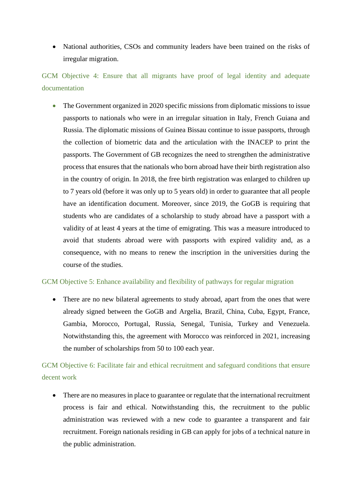• National authorities, CSOs and community leaders have been trained on the risks of irregular migration.

GCM Objective 4: Ensure that all migrants have proof of legal identity and adequate documentation

• The Government organized in 2020 specific missions from diplomatic missions to issue passports to nationals who were in an irregular situation in Italy, French Guiana and Russia. The diplomatic missions of Guinea Bissau continue to issue passports, through the collection of biometric data and the articulation with the INACEP to print the passports. The Government of GB recognizes the need to strengthen the administrative process that ensures that the nationals who born abroad have their birth registration also in the country of origin. In 2018, the free birth registration was enlarged to children up to 7 years old (before it was only up to 5 years old) in order to guarantee that all people have an identification document. Moreover, since 2019, the GoGB is requiring that students who are candidates of a scholarship to study abroad have a passport with a validity of at least 4 years at the time of emigrating. This was a measure introduced to avoid that students abroad were with passports with expired validity and, as a consequence, with no means to renew the inscription in the universities during the course of the studies.

## GCM Objective 5: Enhance availability and flexibility of pathways for regular migration

• There are no new bilateral agreements to study abroad, apart from the ones that were already signed between the GoGB and Argelia, Brazil, China, Cuba, Egypt, France, Gambia, Morocco, Portugal, Russia, Senegal, Tunisia, Turkey and Venezuela. Notwithstanding this, the agreement with Morocco was reinforced in 2021, increasing the number of scholarships from 50 to 100 each year.

## GCM Objective 6: Facilitate fair and ethical recruitment and safeguard conditions that ensure decent work

• There are no measures in place to guarantee or regulate that the international recruitment process is fair and ethical. Notwithstanding this, the recruitment to the public administration was reviewed with a new code to guarantee a transparent and fair recruitment. Foreign nationals residing in GB can apply for jobs of a technical nature in the public administration.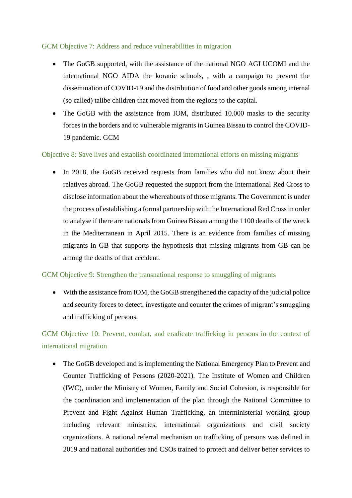## GCM Objective 7: Address and reduce vulnerabilities in migration

- The GoGB supported, with the assistance of the national NGO AGLUCOMI and the international NGO AIDA the koranic schools, , with a campaign to prevent the dissemination of COVID-19 and the distribution of food and other goods among internal (so called) talibe children that moved from the regions to the capital.
- The GoGB with the assistance from IOM, distributed 10.000 masks to the security forces in the borders and to vulnerable migrants in Guinea Bissau to control the COVID-19 pandemic. GCM

### Objective 8: Save lives and establish coordinated international efforts on missing migrants

• In 2018, the GoGB received requests from families who did not know about their relatives abroad. The GoGB requested the support from the International Red Cross to disclose information about the whereabouts of those migrants. The Government is under the process of establishing a formal partnership with the International Red Cross in order to analyse if there are nationals from Guinea Bissau among the 1100 deaths of the wreck in the Mediterranean in April 2015. There is an evidence from families of missing migrants in GB that supports the hypothesis that missing migrants from GB can be among the deaths of that accident.

### GCM Objective 9: Strengthen the transnational response to smuggling of migrants

• With the assistance from IOM, the GoGB strengthened the capacity of the judicial police and security forces to detect, investigate and counter the crimes of migrant's smuggling and trafficking of persons.

GCM Objective 10: Prevent, combat, and eradicate trafficking in persons in the context of international migration

• The GoGB developed and is implementing the National Emergency Plan to Prevent and Counter Trafficking of Persons (2020-2021). The Institute of Women and Children (IWC), under the Ministry of Women, Family and Social Cohesion, is responsible for the coordination and implementation of the plan through the National Committee to Prevent and Fight Against Human Trafficking, an interministerial working group including relevant ministries, international organizations and civil society organizations. A national referral mechanism on trafficking of persons was defined in 2019 and national authorities and CSOs trained to protect and deliver better services to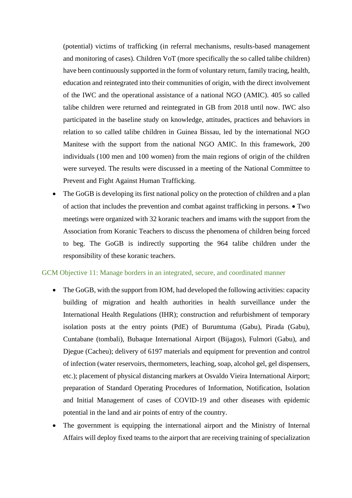(potential) victims of trafficking (in referral mechanisms, results-based management and monitoring of cases). Children VoT (more specifically the so called talibe children) have been continuously supported in the form of voluntary return, family tracing, health, education and reintegrated into their communities of origin, with the direct involvement of the IWC and the operational assistance of a national NGO (AMIC). 405 so called talibe children were returned and reintegrated in GB from 2018 until now. IWC also participated in the baseline study on knowledge, attitudes, practices and behaviors in relation to so called talibe children in Guinea Bissau, led by the international NGO Manitese with the support from the national NGO AMIC. In this framework, 200 individuals (100 men and 100 women) from the main regions of origin of the children were surveyed. The results were discussed in a meeting of the National Committee to Prevent and Fight Against Human Trafficking.

• The GoGB is developing its first national policy on the protection of children and a plan of action that includes the prevention and combat against trafficking in persons. • Two meetings were organized with 32 koranic teachers and imams with the support from the Association from Koranic Teachers to discuss the phenomena of children being forced to beg. The GoGB is indirectly supporting the 964 talibe children under the responsibility of these koranic teachers.

#### GCM Objective 11: Manage borders in an integrated, secure, and coordinated manner

- The GoGB, with the support from IOM, had developed the following activities: capacity building of migration and health authorities in health surveillance under the International Health Regulations (IHR); construction and refurbishment of temporary isolation posts at the entry points (PdE) of Burumtuma (Gabu), Pirada (Gabu), Cuntabane (tombali), Bubaque International Airport (Bijagos), Fulmori (Gabu), and Djegue (Cacheu); delivery of 6197 materials and equipment for prevention and control of infection (water reservoirs, thermometers, leaching, soap, alcohol gel, gel dispensers, etc.); placement of physical distancing markers at Osvaldo Vieira International Airport; preparation of Standard Operating Procedures of Information, Notification, Isolation and Initial Management of cases of COVID-19 and other diseases with epidemic potential in the land and air points of entry of the country.
- The government is equipping the international airport and the Ministry of Internal Affairs will deploy fixed teams to the airport that are receiving training of specialization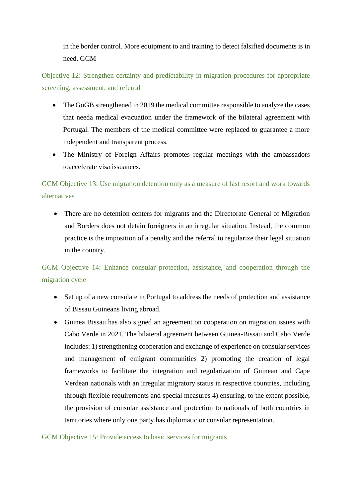in the border control. More equipment to and training to detect falsified documents is in need. GCM

Objective 12: Strengthen certainty and predictability in migration procedures for appropriate screening, assessment, and referral

- The GoGB strengthened in 2019 the medical committee responsible to analyze the cases that needa medical evacuation under the framework of the bilateral agreement with Portugal. The members of the medical committee were replaced to guarantee a more independent and transparent process.
- The Ministry of Foreign Affairs promotes regular meetings with the ambassadors toaccelerate visa issuances.

GCM Objective 13: Use migration detention only as a measure of last resort and work towards alternatives

• There are no detention centers for migrants and the Directorate General of Migration and Borders does not detain foreigners in an irregular situation. Instead, the common practice is the imposition of a penalty and the referral to regularize their legal situation in the country.

GCM Objective 14: Enhance consular protection, assistance, and cooperation through the migration cycle

- Set up of a new consulate in Portugal to address the needs of protection and assistance of Bissau Guineans living abroad.
- Guinea Bissau has also signed an agreement on cooperation on migration issues with Cabo Verde in 2021. The bilateral agreement between Guinea-Bissau and Cabo Verde includes: 1) strengthening cooperation and exchange of experience on consular services and management of emigrant communities 2) promoting the creation of legal frameworks to facilitate the integration and regularization of Guinean and Cape Verdean nationals with an irregular migratory status in respective countries, including through flexible requirements and special measures 4) ensuring, to the extent possible, the provision of consular assistance and protection to nationals of both countries in territories where only one party has diplomatic or consular representation.

GCM Objective 15: Provide access to basic services for migrants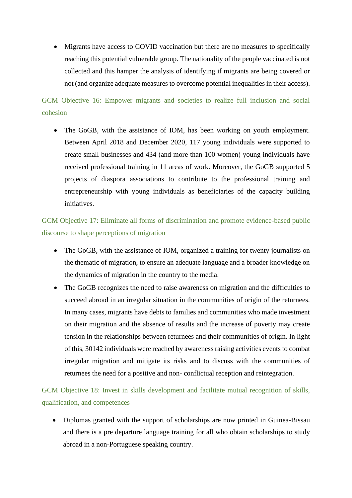• Migrants have access to COVID vaccination but there are no measures to specifically reaching this potential vulnerable group. The nationality of the people vaccinated is not collected and this hamper the analysis of identifying if migrants are being covered or not (and organize adequate measures to overcome potential inequalities in their access).

GCM Objective 16: Empower migrants and societies to realize full inclusion and social cohesion

• The GoGB, with the assistance of IOM, has been working on youth employment. Between April 2018 and December 2020, 117 young individuals were supported to create small businesses and 434 (and more than 100 women) young individuals have received professional training in 11 areas of work. Moreover, the GoGB supported 5 projects of diaspora associations to contribute to the professional training and entrepreneurship with young individuals as beneficiaries of the capacity building initiatives.

GCM Objective 17: Eliminate all forms of discrimination and promote evidence-based public discourse to shape perceptions of migration

- The GoGB, with the assistance of IOM, organized a training for twenty journalists on the thematic of migration, to ensure an adequate language and a broader knowledge on the dynamics of migration in the country to the media.
- The GoGB recognizes the need to raise awareness on migration and the difficulties to succeed abroad in an irregular situation in the communities of origin of the returnees. In many cases, migrants have debts to families and communities who made investment on their migration and the absence of results and the increase of poverty may create tension in the relationships between returnees and their communities of origin. In light of this, 30142 individuals were reached by awareness raising activities events to combat irregular migration and mitigate its risks and to discuss with the communities of returnees the need for a positive and non- conflictual reception and reintegration.

GCM Objective 18: Invest in skills development and facilitate mutual recognition of skills, qualification, and competences

• Diplomas granted with the support of scholarships are now printed in Guinea-Bissau and there is a pre departure language training for all who obtain scholarships to study abroad in a non-Portuguese speaking country.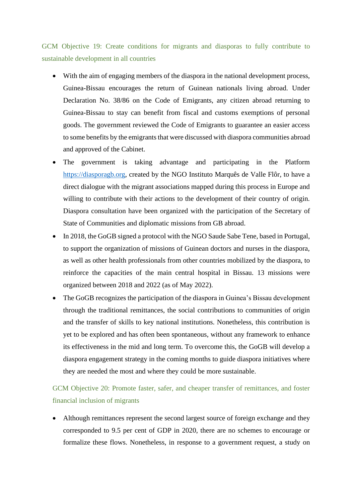GCM Objective 19: Create conditions for migrants and diasporas to fully contribute to sustainable development in all countries

- With the aim of engaging members of the diaspora in the national development process, Guinea-Bissau encourages the return of Guinean nationals living abroad. Under Declaration No. 38/86 on the Code of Emigrants, any citizen abroad returning to Guinea-Bissau to stay can benefit from fiscal and customs exemptions of personal goods. The government reviewed the Code of Emigrants to guarantee an easier access to some benefits by the emigrants that were discussed with diaspora communities abroad and approved of the Cabinet.
- The government is taking advantage and participating in the Platform [https://diasporagb.org,](https://diasporagb.org/) created by the NGO Instituto Marquês de Valle Flôr, to have a direct dialogue with the migrant associations mapped during this process in Europe and willing to contribute with their actions to the development of their country of origin. Diaspora consultation have been organized with the participation of the Secretary of State of Communities and diplomatic missions from GB abroad.
- In 2018, the GoGB signed a protocol with the NGO Saude Sabe Tene, based in Portugal, to support the organization of missions of Guinean doctors and nurses in the diaspora, as well as other health professionals from other countries mobilized by the diaspora, to reinforce the capacities of the main central hospital in Bissau. 13 missions were organized between 2018 and 2022 (as of May 2022).
- The GoGB recognizes the participation of the diaspora in Guinea's Bissau development through the traditional remittances, the social contributions to communities of origin and the transfer of skills to key national institutions. Nonetheless, this contribution is yet to be explored and has often been spontaneous, without any framework to enhance its effectiveness in the mid and long term. To overcome this, the GoGB will develop a diaspora engagement strategy in the coming months to guide diaspora initiatives where they are needed the most and where they could be more sustainable.

## GCM Objective 20: Promote faster, safer, and cheaper transfer of remittances, and foster financial inclusion of migrants

Although remittances represent the second largest source of foreign exchange and they corresponded to 9.5 per cent of GDP in 2020, there are no schemes to encourage or formalize these flows. Nonetheless, in response to a government request, a study on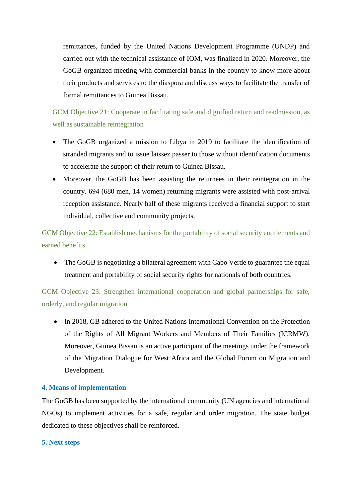remittances, funded by the United Nations Development Programme (UNDP) and carried out with the technical assistance of IOM, was finalized in 2020. Moreover, the GoGB organized meeting with commercial banks in the country to know more about their products and services to the diaspora and discuss ways to facilitate the transfer of formal remittances to Guinea Bissau.

GCM Objective 21: Cooperate in facilitating safe and dignified return and readmission, as well as sustainable reintegration

- The GoGB organized a mission to Libya in 2019 to facilitate the identification of stranded migrants and to issue laissez passer to those without identification documents to accelerate the support of their return to Guinea Bissau.
- Moreover, the GoGB has been assisting the returnees in their reintegration in the country. 694 (680 men, 14 women) returning migrants were assisted with post-arrival reception assistance. Nearly half of these migrants received a financial support to start individual, collective and community projects.

GCM Objective 22: Establish mechanisms for the portability of social security entitlements and earned benefits

• The GoGB is negotiating a bilateral agreement with Cabo Verde to guarantee the equal treatment and portability of social security rights for nationals of both countries.

GCM Objective 23: Strengthen international cooperation and global partnerships for safe, orderly, and regular migration

• In 2018, GB adhered to the United Nations International Convention on the Protection of the Rights of All Migrant Workers and Members of Their Families (ICRMW). Moreover, Guinea Bissau is an active participant of the meetings under the framework of the Migration Dialogue for West Africa and the Global Forum on Migration and Development.

## **4. Means of implementation**

The GoGB has been supported by the international community (UN agencies and international NGOs) to implement activities for a safe, regular and order migration. The state budget dedicated to these objectives shall be reinforced.

### **5. Next steps**